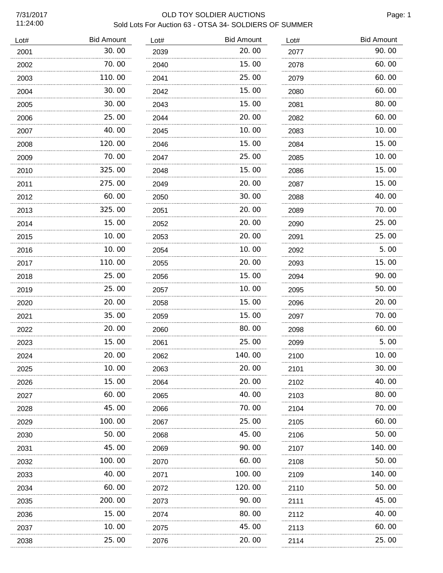# 7/31/2017 OLD TOY SOLDIER AUCTIONS Sold Lots For Auction 63 - OTSA 34- SOLDIERS OF SUMMER

| Lot# | <b>Bid Amount</b> | Lot# | <b>Bid Amount</b> | Lot# | <b>Bid Amount</b> |
|------|-------------------|------|-------------------|------|-------------------|
| 2001 | 30.00             | 2039 | 20.00             | 2077 | 90.00             |
| 2002 | 70.00             | 2040 | 15.00             | 2078 | 60.00             |
| 2003 | 110.00            | 2041 | 25.00             | 2079 | 60.00             |
| 2004 | 30.00             | 2042 | 15.00             | 2080 | 60.00             |
| 2005 | 30.00             | 2043 | 15.00             | 2081 | 80.00             |
| 2006 | 25.00             | 2044 | 20.00             | 2082 | 60.00             |
| 2007 | 40.00             | 2045 | 10.00             | 2083 | 10.00             |
| 2008 | 120.00            | 2046 | 15.00             | 2084 | 15.00             |
| 2009 | 70.00             | 2047 | 25.00             | 2085 | 10.00             |
| 2010 | 325.00            | 2048 | 15.00             | 2086 | 15.00             |
| 2011 | 275.00            | 2049 | 20.00             | 2087 | 15.00             |
| 2012 | 60.00             | 2050 | 30.00             | 2088 | 40.00             |
| 2013 | 325.00            | 2051 | 20.00             | 2089 | 70.00             |
| 2014 | 15.00             | 2052 | 20.00             | 2090 | 25.00             |
| 2015 | 10.00             | 2053 | 20.00             | 2091 | 25.00             |
| 2016 | 10.00             | 2054 | 10.00             | 2092 | 5.00              |
| 2017 | 110.00            | 2055 | 20.00             | 2093 | 15.00             |
| 2018 | 25.00             | 2056 | 15.00             | 2094 | 90.00             |
| 2019 | 25.00             | 2057 | 10.00             | 2095 | 50.00             |
| 2020 | 20.00             | 2058 | 15.00             | 2096 | 20.00             |
| 2021 | 35.00             | 2059 | 15.00             | 2097 | 70.00             |
| 2022 | 20.00             | 2060 | 80.00             | 2098 | 60.00             |
| 2023 | 15.00             | 2061 | 25.00             | 2099 | 5.00              |
| 2024 | 20.00             | 2062 | 140.00            | 2100 | 10.00             |
| 2025 | 10. 00            | 2063 | 20. 00            | 2101 | 30. 00            |
| 2026 | 15.00             | 2064 | 20.00             | 2102 | 40.00             |
| 2027 | 60.00             | 2065 | 40.00             | 2103 | 80.00             |
| 2028 | 45.00             | 2066 | 70.00             | 2104 | 70.00             |
| 2029 | 100.00            | 2067 | 25.00             | 2105 | 60.00             |
| 2030 | 50.00             | 2068 | 45.00             | 2106 | 50.00             |
| 2031 | 45.00             | 2069 | 90.00             | 2107 | 140.00            |
| 2032 | 100.00            | 2070 | 60.00             | 2108 | 50.00             |
| 2033 | 40.00             | 2071 | 100.00            | 2109 | 140.00            |
| 2034 | 60.00             | 2072 | 120.00            | 2110 | 50.00             |
| 2035 | 200.00            | 2073 | 90.00             | 2111 | 45.00             |
| 2036 | 15.00             | 2074 | 80.00             | 2112 | 40.00             |
| 2037 | 10.00             | 2075 | 45.00             | 2113 | 60.00             |
| 2038 | 25.00             | 2076 | 20.00             | 2114 | 25.00             |
|      |                   |      |                   |      |                   |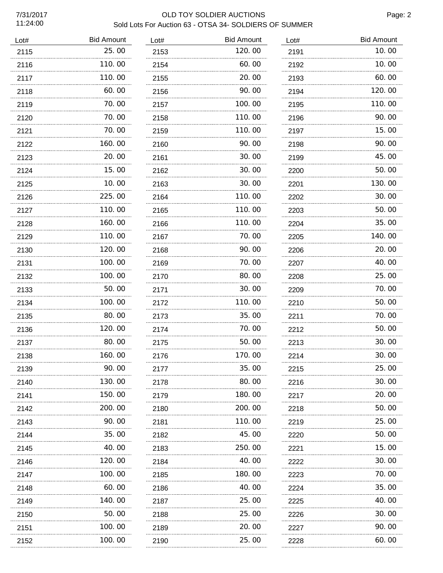## 7/31/2017 OLD TOY SOLDIER AUCTIONS Sold Lots For Auction 63 - OTSA 34- SOLDIERS OF SUMMER

| Lot# | <b>Bid Amount</b> | Lot# | <b>Bid Amount</b> | Lot# | <b>Bid Amount</b> |
|------|-------------------|------|-------------------|------|-------------------|
| 2115 | 25.00<br>.        | 2153 | 120.00            | 2191 | 10.00             |
| 2116 | 110.00            | 2154 | 60.00             | 2192 | 10.00             |
| 2117 | 110.00            | 2155 | 20.00             | 2193 | 60.00             |
| 2118 | 60.00             | 2156 | 90.00             | 2194 | 120.00            |
| 2119 | 70.00             | 2157 | 100.00            | 2195 | 110.00            |
| 2120 | 70.00             | 2158 | 110.00            | 2196 | 90.00             |
| 2121 | 70.00             | 2159 | 110.00            | 2197 | 15.00             |
| 2122 | 160.00            | 2160 | 90.00             | 2198 | 90.00             |
| 2123 | 20.00             | 2161 | 30.00             | 2199 | 45.00             |
| 2124 | 15.00             | 2162 | 30.00             | 2200 | 50.00             |
| 2125 | 10.00             | 2163 | 30.00             | 2201 | 130.00            |
| 2126 | 225.00            | 2164 | 110.00            | 2202 | 30.00             |
| 2127 | 110.00            | 2165 | 110.00            | 2203 | 50.00             |
| 2128 | 160.00            | 2166 | 110.00            | 2204 | 35.00             |
| 2129 | 110.00            | 2167 | 70.00             | 2205 | 140.00            |
| 2130 | 120.00            | 2168 | 90.00             | 2206 | 20.00             |
| 2131 | 100.00            | 2169 | 70.00             | 2207 | 40.00             |
| 2132 | 100.00            | 2170 | 80.00             | 2208 | 25.00             |
| 2133 | 50.00             | 2171 | 30.00             | 2209 | 70.00             |
| 2134 | 100.00            | 2172 | 110.00            | 2210 | 50.00             |
| 2135 | 80.00             | 2173 | 35.00             | 2211 | 70.00             |
| 2136 | 120.00<br>.       | 2174 | 70.00             | 2212 | 50.00             |
| 2137 | 80.00             | 2175 | 50.00             | 2213 | 30.00             |
| 2138 | 160.00            | 2176 | 170.00            | 2214 | 30.00             |
| 2139 | 90. OO            | 2177 | 35.00             | 2215 | 25,00             |
| 2140 | 130.00            | 2178 | 80.00             | 2216 | 30.00             |
| 2141 | 150. 00           | 2179 | 180.00            | 2217 | 20.00             |
| 2142 | 200.00            | 2180 | 200.00            | 2218 | 50.00             |
| 2143 | 90.00             | 2181 | 110.00            | 2219 | 25.00             |
| 2144 | 35.00             | 2182 | 45.00             | 2220 | 50.00             |
| 2145 | 40. OO            | 2183 | 250.00            | 2221 | 15.00             |
| 2146 | 120. 00           | 2184 | 40.00             | 2222 | 30.00             |
| 2147 | 100.00            | 2185 | 180.00            | 2223 | 70.00             |
| 2148 | 60.00             | 2186 | 40.00             | 2224 | 35.00             |
| 2149 | 140.00            | 2187 | 25.00             | 2225 | 40.00             |
| 2150 | 50.00             | 2188 | 25.00             | 2226 | 30.00             |
| 2151 | 100. 00           | 2189 | 20.00             | 2227 | 90.00             |
| 2152 | 100. 00           | 2190 | 25.00             | 2228 | 60.00             |
|      |                   |      |                   |      |                   |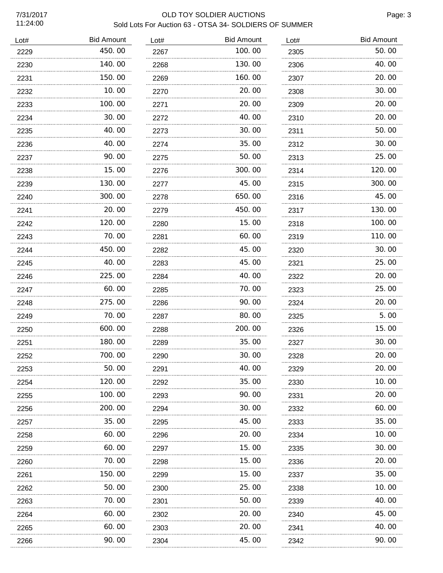# 7/31/2017 OLD TOY SOLDIER AUCTIONS Sold Lots For Auction 63 - OTSA 34- SOLDIERS OF SUMMER

| Lot# | <b>Bid Amount</b> | Lot# | <b>Bid Amount</b> | Lot# | <b>Bid Amount</b> |
|------|-------------------|------|-------------------|------|-------------------|
| 2229 | 450.00            | 2267 | 100.00            | 2305 | 50.00             |
| 2230 | 140.00            | 2268 | 130.00            | 2306 | 40.00             |
| 2231 | 150.00            | 2269 | 160.00            | 2307 | 20.00             |
| 2232 | 10.00             | 2270 | 20,00             | 2308 | 30.00             |
| 2233 | 100.00            | 2271 | 20.00             | 2309 | 20.00             |
| 2234 | 30.00             | 2272 | 40.00             | 2310 | 20.00             |
| 2235 | 40.00             | 2273 | 30.00             | 2311 | 50.00             |
| 2236 | 40.00             | 2274 | 35.00             | 2312 | 30.00             |
| 2237 | 90.00             | 2275 | 50.00             | 2313 | 25.00             |
| 2238 | 15.00             | 2276 | 300.00            | 2314 | 120.00            |
| 2239 | 130.00            | 2277 | 45.00             | 2315 | 300.00            |
| 2240 | 300.00            | 2278 | 650.00            | 2316 | 45.00             |
| 2241 | 20.00             | 2279 | 450.00            | 2317 | 130.00            |
| 2242 | 120.00            | 2280 | 15.00             | 2318 | 100.00            |
| 2243 | 70.00             | 2281 | 60.00             | 2319 | 110.00            |
| 2244 | 450.00            | 2282 | 45.00             | 2320 | 30.00             |
| 2245 | 40.00             | 2283 | 45.00             | 2321 | 25.00             |
| 2246 | 225.00            | 2284 | 40.00             | 2322 | 20.00             |
| 2247 | 60.00             | 2285 | 70.00             | 2323 | 25.00             |
| 2248 | 275.00            | 2286 | 90.00             | 2324 | 20.00             |
| 2249 | 70.00             | 2287 | 80.00             | 2325 | 5.00              |
| 2250 | 600.00            | 2288 | 200.00            | 2326 | 15.00             |
| 2251 | 180.00            | 2289 | 35.00             | 2327 | 30.00             |
| 2252 | 700.00            | 2290 | 30.00             | 2328 | 20.00             |
| 2253 | 50.00             | 2291 | 40. OO            | 2329 | 20.00             |
| 2254 | 120.00            | 2292 | 35.00             | 2330 | 10.00             |
| 2255 | 100. 00           | 2293 | 90.00             | 2331 | 20.00             |
| 2256 | 200.00            | 2294 | 30.00             | 2332 | 60.00             |
| 2257 | 35.00             | 2295 | 45.00             | 2333 | 35.00             |
| 2258 | 60.00             | 2296 | 20.00             | 2334 | 10.00             |
| 2259 | 60.00             | 2297 | 15.00             | 2335 | 30.00             |
| 2260 | 70.00             | 2298 | 15.00             | 2336 | 20.00             |
| 2261 | 150.00            | 2299 | 15.00             | 2337 | 35.00             |
| 2262 | 50.00             | 2300 | 25.00             | 2338 | 10.00             |
| 2263 | 70.00             | 2301 | 50.00             | 2339 | 40.00             |
| 2264 | 60.00             | 2302 | 20.00             | 2340 | 45.00             |
| 2265 | 60.00             | 2303 | 20.00             | 2341 | 40.00             |
| 2266 | 90.00             | 2304 | 45.00             | 2342 | 90. 00            |
|      |                   |      |                   |      |                   |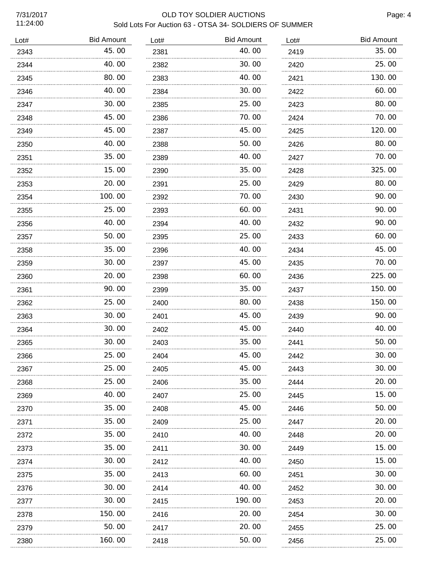# 7/31/2017 OLD TOY SOLDIER AUCTIONS Sold Lots For Auction 63 - OTSA 34- SOLDIERS OF SUMMER

| Lot# | <b>Bid Amount</b> | Lot# | <b>Bid Amount</b> | Lot# | <b>Bid Amount</b> |
|------|-------------------|------|-------------------|------|-------------------|
| 2343 | 45.00             | 2381 | 40.00             | 2419 | 35.00             |
| 2344 | 40.00             | 2382 | 30.00             | 2420 | 25.00             |
| 2345 | 80.00             | 2383 | 40.00             | 2421 | 130.00            |
| 2346 | 40.00             | 2384 | 30.00             | 2422 | 60.00             |
| 2347 | 30.00             | 2385 | 25.00             | 2423 | 80.00             |
| 2348 | 45.00             | 2386 | 70.00             | 2424 | 70.00             |
| 2349 | 45.00             | 2387 | 45.00             | 2425 | 120.00            |
| 2350 | 40.00             | 2388 | 50.00             | 2426 | 80.00             |
| 2351 | 35.00             | 2389 | 40.00             | 2427 | 70.00             |
| 2352 | 15.00             | 2390 | 35.00             | 2428 | 325.00            |
| 2353 | 20.00             | 2391 | 25.00             | 2429 | 80.00             |
| 2354 | 100.00            | 2392 | 70.00             | 2430 | 90.00             |
| 2355 | 25.00             | 2393 | 60.00             | 2431 | 90.00             |
| 2356 | 40.00             | 2394 | 40.00             | 2432 | 90.00             |
| 2357 | 50.00             | 2395 | 25.00             | 2433 | 60.00             |
| 2358 | 35.00             | 2396 | 40.00             | 2434 | 45.00             |
| 2359 | 30.00             | 2397 | 45.00             | 2435 | 70.00             |
| 2360 | 20.00             | 2398 | 60.00             | 2436 | 225.00            |
| 2361 | 90.00             | 2399 | 35.00             | 2437 | 150.00            |
| 2362 | 25.00             | 2400 | 80.00             | 2438 | 150.00            |
| 2363 | 30.00             | 2401 | 45.00             | 2439 | 90.00             |
| 2364 | 30.00             | 2402 | 45.00             | 2440 | 40.00             |
| 2365 | 30.00             | 2403 | 35.00             | 2441 | 50.00             |
| 2366 | 25.00             | 2404 | 45.00             | 2442 | 30.00             |
| 2367 | 25.00             | 2405 | 45.00             | 2443 | 30. 00            |
| 2368 | 25.00             | 2406 | 35.00             | 2444 | 20.00             |
| 2369 | 40.00             | 2407 | 25.00             | 2445 | 15.00             |
| 2370 | 35.00             | 2408 | 45.00             | 2446 | 50.00             |
| 2371 | 35.00             | 2409 | 25.00             | 2447 | 20.00             |
| 2372 | 35.00             | 2410 | 40.00             | 2448 | 20.00             |
| 2373 | 35.00             | 2411 | 30.00             | 2449 | 15.00             |
| 2374 | 30.00             | 2412 | 40. 00            | 2450 | 15.00             |
| 2375 | 35.00             | 2413 | 60.00             | 2451 | 30.00             |
| 2376 | 30.00             | 2414 | 40.00             | 2452 | 30.00             |
| 2377 | 30.00             | 2415 | 190.00            | 2453 | 20.00             |
| 2378 | 150.00            | 2416 | 20.00             | 2454 | 30.00             |
| 2379 | 50.00             | 2417 | 20.00             | 2455 | 25.00             |
| 2380 | 160.00            | 2418 | 50.00             | 2456 | 25.00             |
|      |                   |      |                   |      |                   |